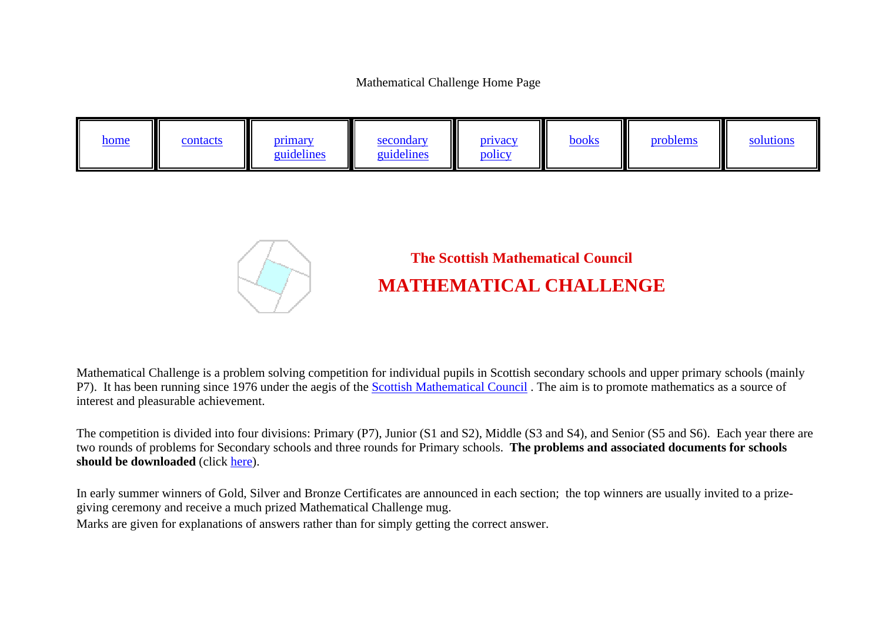Mathematical Challenge Home Page





## **The Scottish Mathematical Council MATHEMATICAL CHALLENGE**

Mathematical Challenge is a problem solving competition for individual pupils in Scottish secondary schools and upper primary schools (mainly P7). It has been running since 1976 under the aegis of the [Scottish Mathematical Council](http://www.scottishmathematicalcouncil.org.uk). The aim is to promote mathematics as a source of interest and pleasurable achievement.

The competition is divided into four divisions: Primary (P7), Junior (S1 and S2), Middle (S3 and S4), and Senior (S5 and S6). Each year there are two rounds of problems for Secondary schools and three rounds for Primary schools. **The problems and associated documents for schools should be downloaded** (click [here](materials/index.html)).

In early summer winners of Gold, Silver and Bronze Certificates are announced in each section; the top winners are usually invited to a prizegiving ceremony and receive a much prized Mathematical Challenge mug.

Marks are given for explanations of answers rather than for simply getting the correct answer.